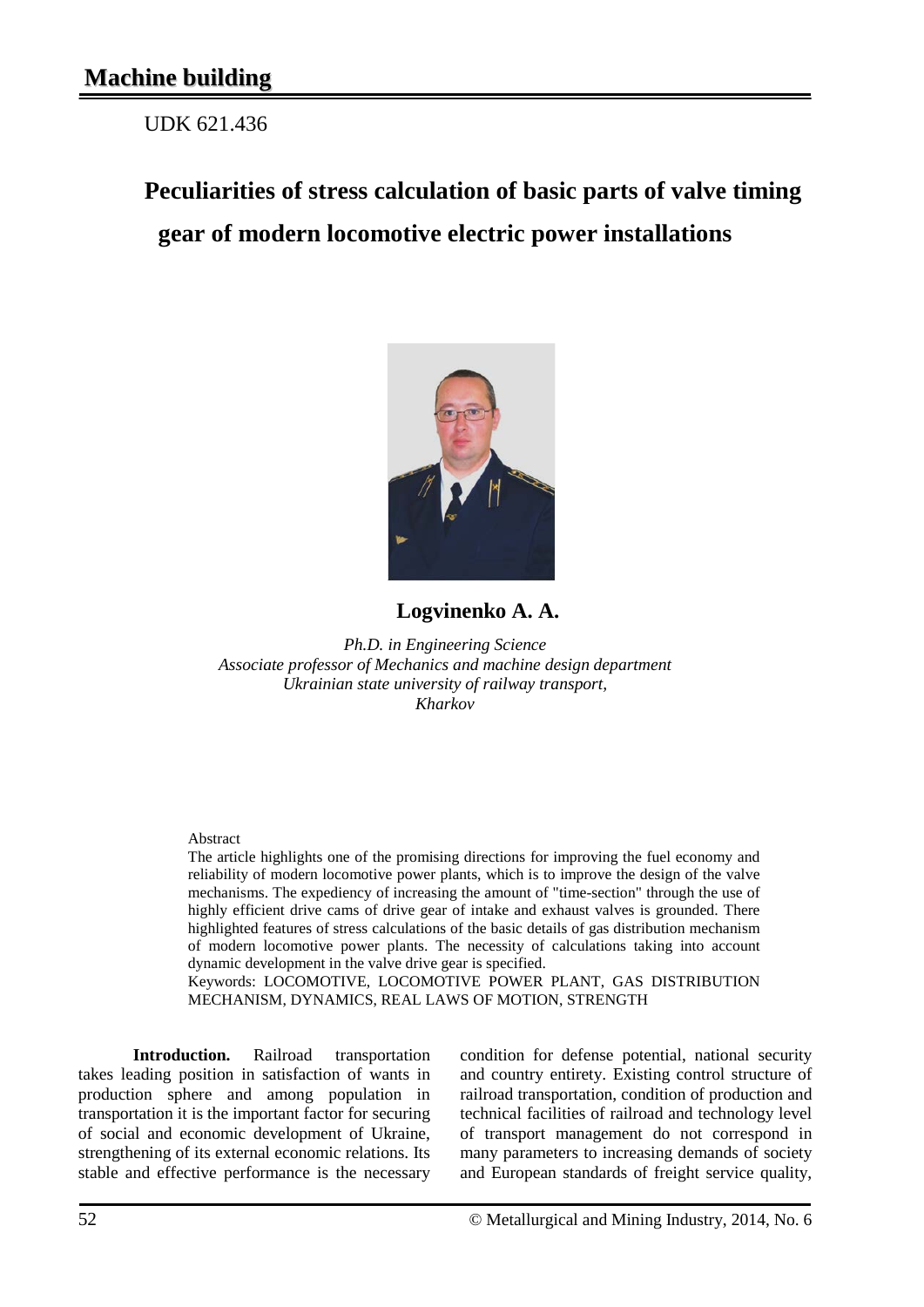UDK 621.436

## **Peculiarities of stress calculation of basic parts of valve timing gear of modern locomotive electric power installations**



## **Logvinenko A. A.**

*Ph.D. in Engineering Science Associate professor of Mechanics and machine design department Ukrainian state university of railway transport, Kharkov*

## Abstract

The article highlights one of the promising directions for improving the fuel economy and reliability of modern locomotive power plants, which is to improve the design of the valve mechanisms. The expediency of increasing the amount of "time-section" through the use of highly efficient drive cams of drive gear of intake and exhaust valves is grounded. There highlighted features of stress calculations of the basic details of gas distribution mechanism of modern locomotive power plants. The necessity of calculations taking into account dynamic development in the valve drive gear is specified.

Keywords: LOCOMOTIVE, LOCOMOTIVE POWER PLANT, GAS DISTRIBUTION MECHANISM, DYNAMICS, REAL LAWS OF MOTION, STRENGTH

**Introduction.** Railroad transportation takes leading position in satisfaction of wants in production sphere and among population in transportation it is the important factor for securing of social and economic development of Ukraine, strengthening of its external economic relations. Its stable and effective performance is the necessary

condition for defense potential, national security and country entirety. Existing control structure of railroad transportation, condition of production and technical facilities of railroad and technology level of transport management do not correspond in many parameters to increasing demands of society and European standards of freight service quality,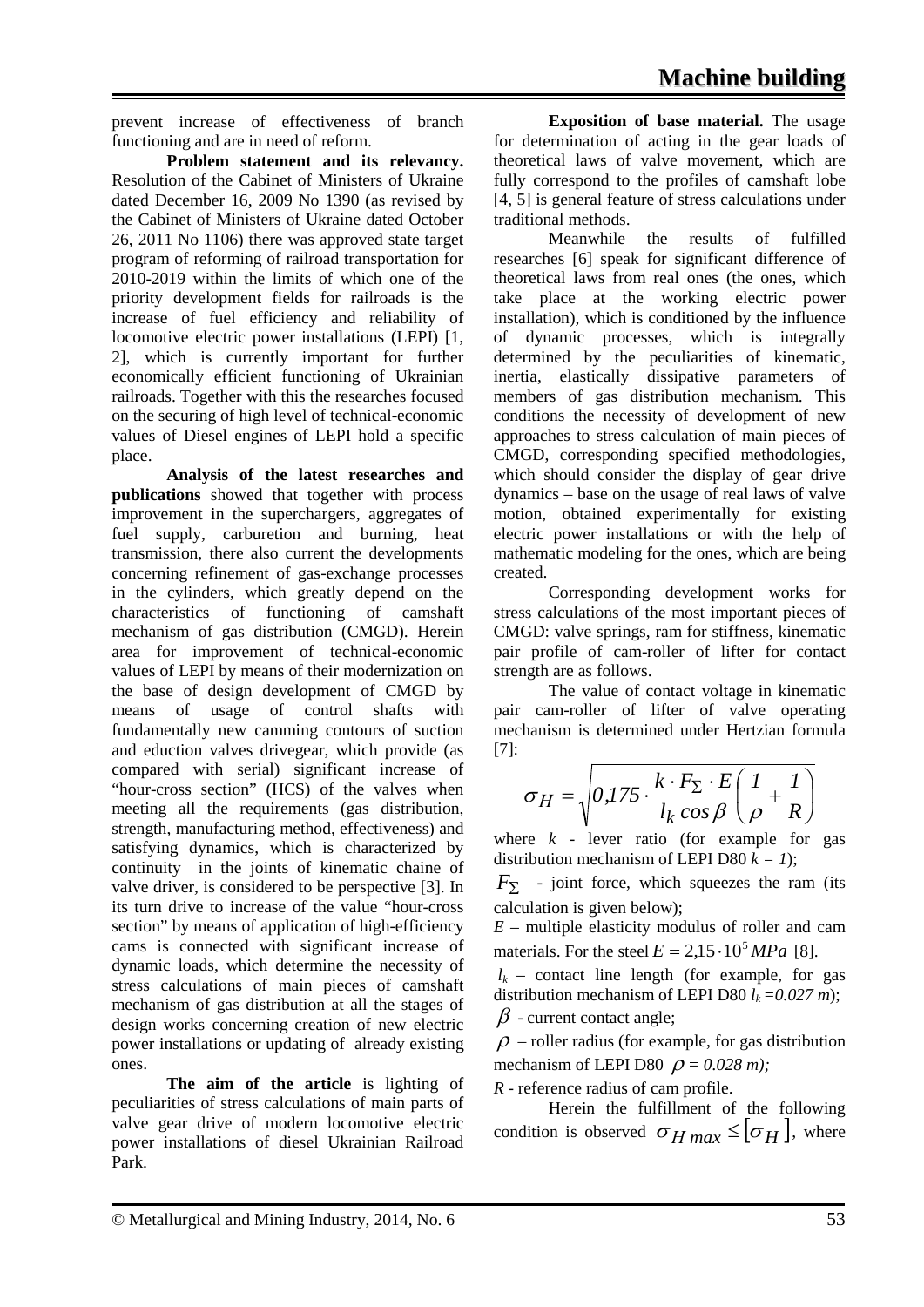prevent increase of effectiveness of branch functioning and are in need of reform.

**Problem statement and its relevancy.**  Resolution of the Cabinet of Ministers of Ukraine dated December 16, 2009 No 1390 (as revised by the Cabinet of Ministers of Ukraine dated October 26, 2011 No 1106) there was approved state target program of reforming of railroad transportation for 2010-2019 within the limits of which one of the priority development fields for railroads is the increase of fuel efficiency and reliability of locomotive electric power installations (LEPI) [1, 2], which is currently important for further economically efficient functioning of Ukrainian railroads. Together with this the researches focused on the securing of high level of technical-economic values of Diesel engines of LEPI hold a specific place.

**Analysis of the latest researches and publications** showed that together with process improvement in the superchargers, aggregates of fuel supply, carburetion and burning, heat transmission, there also current the developments concerning refinement of gas-exchange processes in the cylinders, which greatly depend on the characteristics of functioning of camshaft mechanism of gas distribution (CMGD). Herein area for improvement of technical-economic values of LEPI by means of their modernization on the base of design development of CMGD by means of usage of control shafts with fundamentally new camming contours of suction and eduction valves drivegear, which provide (as compared with serial) significant increase of "hour-cross section" (HCS) of the valves when meeting all the requirements (gas distribution, strength, manufacturing method, effectiveness) and satisfying dynamics, which is characterized by continuity in the joints of kinematic chaine of valve driver, is considered to be perspective [3]. In its turn drive to increase of the value "hour-cross section" by means of application of high-efficiency cams is connected with significant increase of dynamic loads, which determine the necessity of stress calculations of main pieces of camshaft mechanism of gas distribution at all the stages of design works concerning creation of new electric power installations or updating of already existing ones.

**The aim of the article** is lighting of peculiarities of stress calculations of main parts of valve gear drive of modern locomotive electric power installations of diesel Ukrainian Railroad Park.

**Exposition of base material.** The usage for determination of acting in the gear loads of theoretical laws of valve movement, which are fully correspond to the profiles of camshaft lobe [4, 5] is general feature of stress calculations under traditional methods.

Meanwhile the results of fulfilled researches [6] speak for significant difference of theoretical laws from real ones (the ones, which take place at the working electric power installation), which is conditioned by the influence of dynamic processes, which is integrally determined by the peculiarities of kinematic, inertia, elastically dissipative parameters of members of gas distribution mechanism. This conditions the necessity of development of new approaches to stress calculation of main pieces of CMGD, corresponding specified methodologies, which should consider the display of gear drive dynamics – base on the usage of real laws of valve motion, obtained experimentally for existing electric power installations or with the help of mathematic modeling for the ones, which are being created.

Corresponding development works for stress calculations of the most important pieces of CMGD: valve springs, ram for stiffness, kinematic pair profile of cam-roller of lifter for contact strength are as follows.

The value of contact voltage in kinematic pair cam-roller of lifter of valve operating mechanism is determined under Hertzian formula [7]:

$$
\sigma_H = \sqrt{0.175 \cdot \frac{k \cdot F_\Sigma \cdot E}{l_k \cos \beta} \left(\frac{1}{\rho} + \frac{1}{R}\right)}
$$

where  $k$  - lever ratio (for example for gas distribution mechanism of LEPI D80  $k = 1$ ;

 $F_{\nabla}$  - joint force, which squeezes the ram (its calculation is given below);

*E* – multiple elasticity modulus of roller and cam materials. For the steel  $E = 2.15 \cdot 10^5 MPa$  [8].

 $l_k$  – contact line length (for example, for gas distribution mechanism of LEPI D80  $l_k = 0.027$  m);  $\beta$  - current contact angle;

 $\rho$  – roller radius (for example, for gas distribution mechanism of LEPI D80  $\rho = 0.028$  m);

*R* - reference radius of cam profile.

Herein the fulfillment of the following condition is observed  $\sigma_{H \max} \leq [\sigma_H]$ , where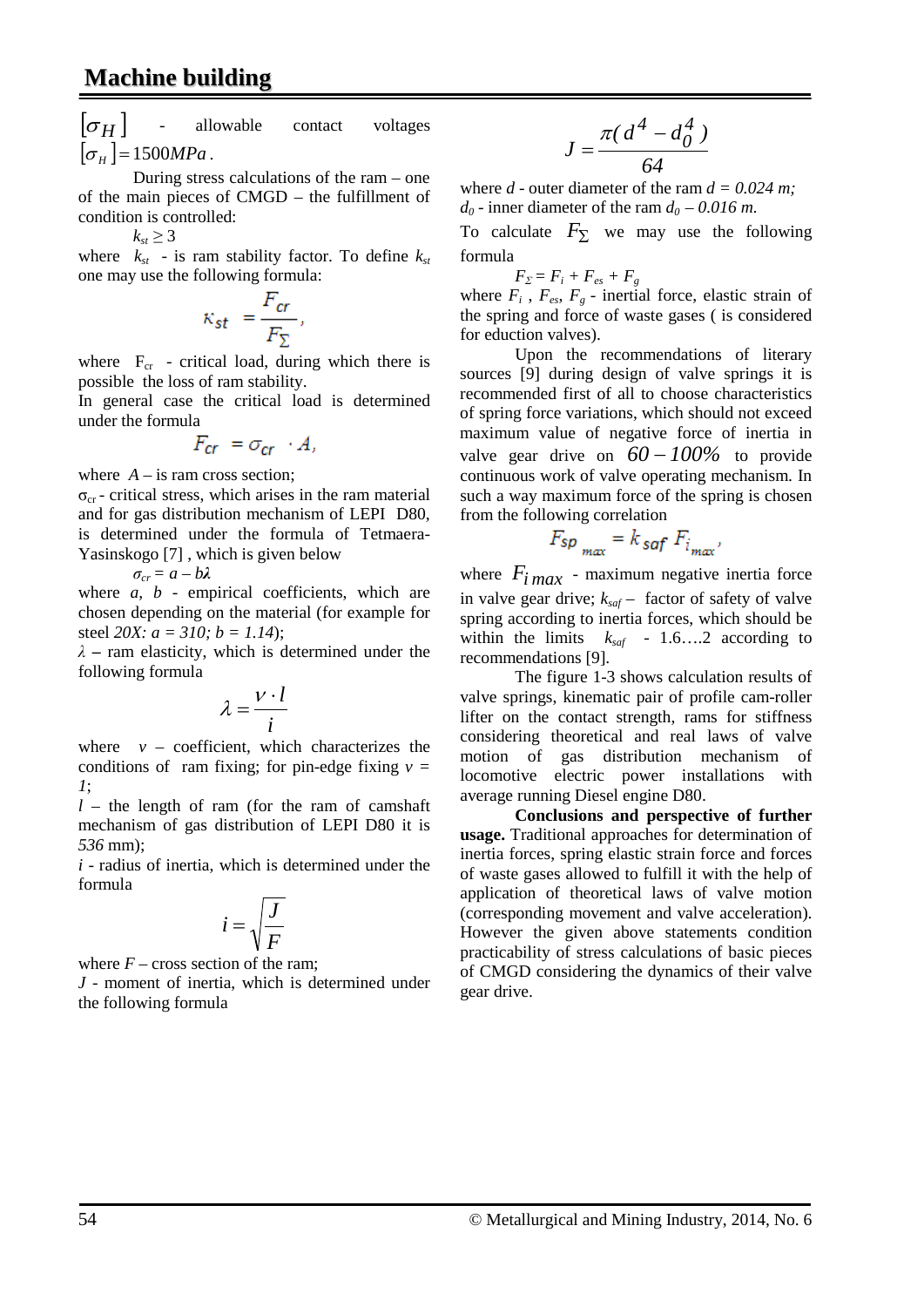$\sigma$  *H*  $\sigma$  *H*  $\sigma$  *H*  $\sigma$  *H*  $\sigma$  *H*  $\sigma$  *H*  $\sigma$  *H*  $\sigma$  *H*  $\sigma$  *H*  $\sigma$  *H*  $\sigma$  *H*  $\sigma$  *H*  $\sigma$  *H*  $\sigma$  *H*  $\sigma$  *H*  $\sigma$  *H*  $\sigma$  *H*  $\sigma$  *H*  $\sigma$  *H*  $\sigma$  *H*  $\sigma$  *H*  $\sigma$  *H*  $\sigma$  *H*  $\sigma$  *H*  $\sigma$   $[\sigma_u] = 1500 MPa$ .

During stress calculations of the ram – one of the main pieces of CMGD – the fulfillment of condition is controlled:

 $k_{st} \geq 3$ 

where  $k_{st}$  - is ram stability factor. To define  $k_{st}$ one may use the following formula:

$$
\kappa_{st} = \frac{F_{cr}}{F_{\Sigma}},
$$

where  $F_{cr}$  - critical load, during which there is possible the loss of ram stability.

In general case the critical load is determined under the formula

$$
F_{cr} = \sigma_{cr} \cdot A,
$$

where  $A -$  is ram cross section;

 $\sigma_{cr}$  - critical stress, which arises in the ram material and for gas distribution mechanism of LEPI D80, is determined under the formula of Tetmaera-Yasinskogo [7] , which is given below

 $σ<sub>cr</sub> = a - bλ$ 

where *a*, *b* - empirical coefficients, which are chosen depending on the material (for example for steel *20X: a = 310; b = 1.14*);

*λ –* ram elasticity, which is determined under the following formula

$$
\lambda = \frac{v \cdot l}{i}
$$

where  $v -$  coefficient, which characterizes the conditions of ram fixing; for pin-edge fixing  $v =$ *1*;

 $l$  – the length of ram (for the ram of camshaft mechanism of gas distribution of LEPI D80 it is *536* mm);

*i* - radius of inertia, which is determined under the formula

$$
i = \sqrt{\frac{J}{F}}
$$

where  $F - \text{cross section of the ram:}$ 

*J* - moment of inertia, which is determined under the following formula

$$
J = \frac{\pi (d^4 - d_0^4)}{64}
$$

where *d* - outer diameter of the ram  $d = 0.024$  *m*;  $d_0$  - inner diameter of the ram  $d_0$  – 0.016 m.

To calculate  $F_{\Sigma}$  we may use the following formula

 $F_{\Sigma} = F_i + F_{es} + F_g$ 

where  $F_i$ ,  $F_{es}$ ,  $F_g$  - inertial force, elastic strain of the spring and force of waste gases ( is considered for eduction valves).

Upon the recommendations of literary sources [9] during design of valve springs it is recommended first of all to choose characteristics of spring force variations, which should not exceed maximum value of negative force of inertia in valve gear drive on *60* − *100%* to provide continuous work of valve operating mechanism. In such a way maximum force of the spring is chosen from the following correlation

$$
F_{sp_{max}} = k_{saf} F_{i_{max}}
$$

where  $F_{i max}$  - maximum negative inertia force in valve gear drive;  $k_{\text{saf}}$  – factor of safety of valve spring according to inertia forces, which should be within the limits  $k_{\text{sat}}$  - 1.6….2 according to recommendations [9].

The figure 1-3 shows calculation results of valve springs, kinematic pair of profile cam-roller lifter on the contact strength, rams for stiffness considering theoretical and real laws of valve motion of gas distribution mechanism of locomotive electric power installations with average running Diesel engine D80.

**Conclusions and perspective of further usage.** Traditional approaches for determination of inertia forces, spring elastic strain force and forces of waste gases allowed to fulfill it with the help of application of theoretical laws of valve motion (corresponding movement and valve acceleration). However the given above statements condition practicability of stress calculations of basic pieces of CMGD considering the dynamics of their valve gear drive.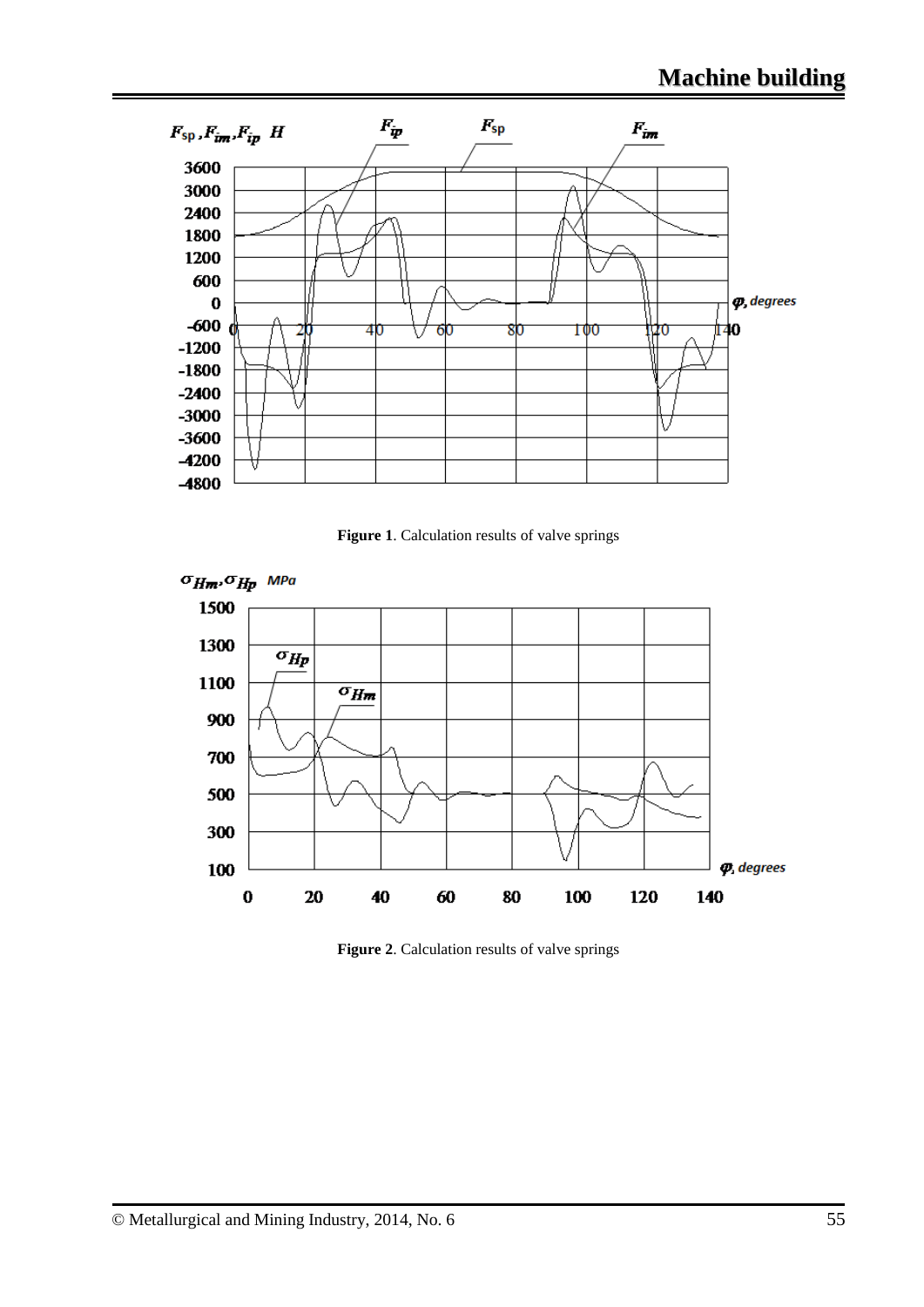

**Figure 1**. Calculation results of valve springs



**Figure 2**. Calculation results of valve springs